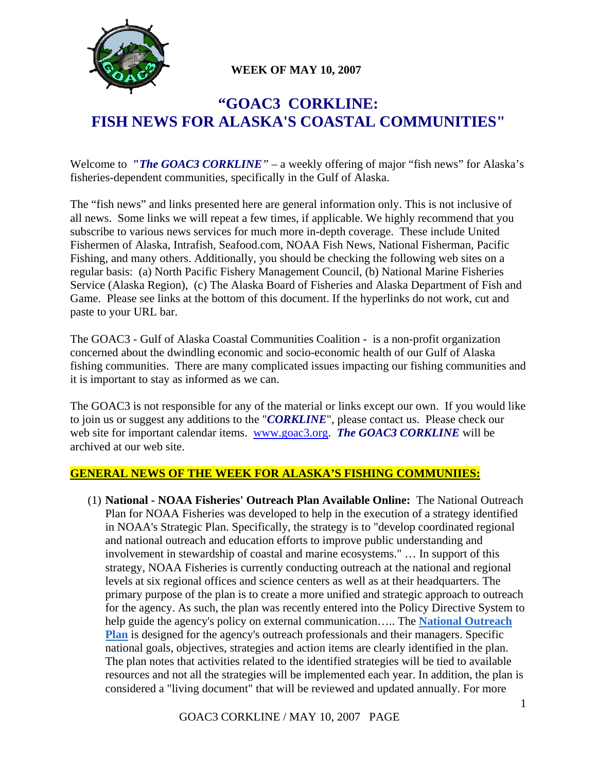

 **WEEK OF MAY 10, 2007** 

# **"GOAC3 CORKLINE: FISH NEWS FOR ALASKA'S COASTAL COMMUNITIES"**

Welcome to **"***The GOAC3 CORKLINE*" – a weekly offering of major "fish news" for Alaska's fisheries-dependent communities, specifically in the Gulf of Alaska.

The "fish news" and links presented here are general information only. This is not inclusive of all news. Some links we will repeat a few times, if applicable. We highly recommend that you subscribe to various news services for much more in-depth coverage. These include United Fishermen of Alaska, Intrafish, Seafood.com, NOAA Fish News, National Fisherman, Pacific Fishing, and many others. Additionally, you should be checking the following web sites on a regular basis: (a) North Pacific Fishery Management Council, (b) National Marine Fisheries Service (Alaska Region), (c) The Alaska Board of Fisheries and Alaska Department of Fish and Game. Please see links at the bottom of this document. If the hyperlinks do not work, cut and paste to your URL bar.

The GOAC3 - Gulf of Alaska Coastal Communities Coalition - is a non-profit organization concerned about the dwindling economic and socio-economic health of our Gulf of Alaska fishing communities. There are many complicated issues impacting our fishing communities and it is important to stay as informed as we can.

The GOAC3 is not responsible for any of the material or links except our own. If you would like to join us or suggest any additions to the "*CORKLINE*", please contact us. Please check our web site for important calendar items. www.goac3.org. **The GOAC3 CORKLINE** will be archived at our web site.

### **GENERAL NEWS OF THE WEEK FOR ALASKA'S FISHING COMMUNIIES:**

(1) **National - NOAA Fisheries' Outreach Plan Available Online:** The National Outreach Plan for NOAA Fisheries was developed to help in the execution of a strategy identified in NOAA's Strategic Plan. Specifically, the strategy is to "develop coordinated regional and national outreach and education efforts to improve public understanding and involvement in stewardship of coastal and marine ecosystems." … In support of this strategy, NOAA Fisheries is currently conducting outreach at the national and regional levels at six regional offices and science centers as well as at their headquarters. The primary purpose of the plan is to create a more unified and strategic approach to outreach for the agency. As such, the plan was recently entered into the Policy Directive System to help guide the agency's policy on external communication….. The **National Outreach Plan** is designed for the agency's outreach professionals and their managers. Specific national goals, objectives, strategies and action items are clearly identified in the plan. The plan notes that activities related to the identified strategies will be tied to available resources and not all the strategies will be implemented each year. In addition, the plan is considered a "living document" that will be reviewed and updated annually. For more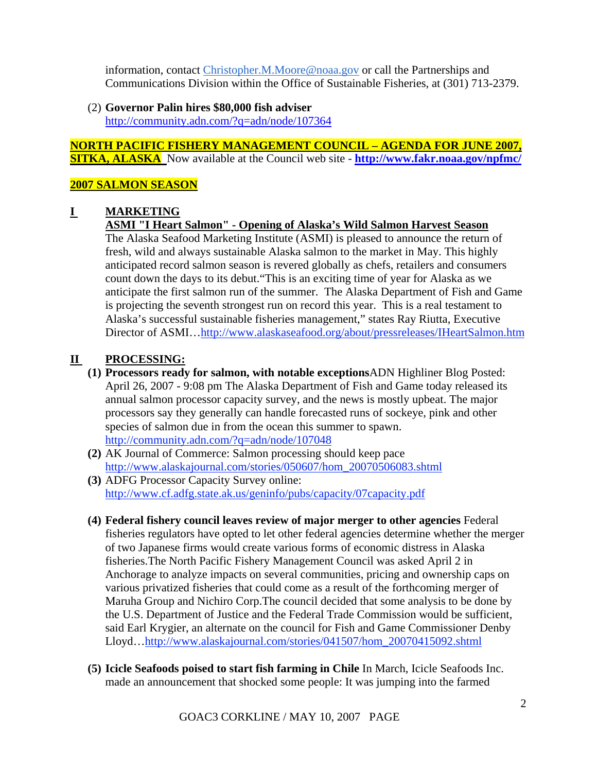information, contact Christopher.M.Moore@noaa.gov or call the Partnerships and Communications Division within the Office of Sustainable Fisheries, at (301) 713-2379.

(2) **Governor Palin hires \$80,000 fish adviser** http://community.adn.com/?q=adn/node/107364

### **NORTH PACIFIC FISHERY MANAGEMENT COUNCIL – AGENDA FOR JUNE 2007, SITKA, ALASKA** Now available at the Council web site - **http://www.fakr.noaa.gov/npfmc/**

### **2007 SALMON SEASON**

### **I MARKETING**

**ASMI "I Heart Salmon" - Opening of Alaska's Wild Salmon Harvest Season** The Alaska Seafood Marketing Institute (ASMI) is pleased to announce the return of fresh, wild and always sustainable Alaska salmon to the market in May. This highly anticipated record salmon season is revered globally as chefs, retailers and consumers count down the days to its debut."This is an exciting time of year for Alaska as we anticipate the first salmon run of the summer. The Alaska Department of Fish and Game is projecting the seventh strongest run on record this year. This is a real testament to Alaska's successful sustainable fisheries management," states Ray Riutta, Executive Director of ASMI…http://www.alaskaseafood.org/about/pressreleases/IHeartSalmon.htm

# **II PROCESSING:**

- **(1) Processors ready for salmon, with notable exceptions**ADN Highliner Blog Posted: April 26, 2007 - 9:08 pm The Alaska Department of Fish and Game today released its annual salmon processor capacity survey, and the news is mostly upbeat. The major processors say they generally can handle forecasted runs of sockeye, pink and other species of salmon due in from the ocean this summer to spawn. http://community.adn.com/?q=adn/node/107048
- **(2)** AK Journal of Commerce: Salmon processing should keep pace http://www.alaskajournal.com/stories/050607/hom\_20070506083.shtml
- **(3)** ADFG Processor Capacity Survey online: http://www.cf.adfg.state.ak.us/geninfo/pubs/capacity/07capacity.pdf
- **(4) Federal fishery council leaves review of major merger to other agencies** Federal fisheries regulators have opted to let other federal agencies determine whether the merger of two Japanese firms would create various forms of economic distress in Alaska fisheries.The North Pacific Fishery Management Council was asked April 2 in Anchorage to analyze impacts on several communities, pricing and ownership caps on various privatized fisheries that could come as a result of the forthcoming merger of Maruha Group and Nichiro Corp.The council decided that some analysis to be done by the U.S. Department of Justice and the Federal Trade Commission would be sufficient, said Earl Krygier, an alternate on the council for Fish and Game Commissioner Denby Lloyd…http://www.alaskajournal.com/stories/041507/hom\_20070415092.shtml
- **(5) Icicle Seafoods poised to start fish farming in Chile** In March, Icicle Seafoods Inc. made an announcement that shocked some people: It was jumping into the farmed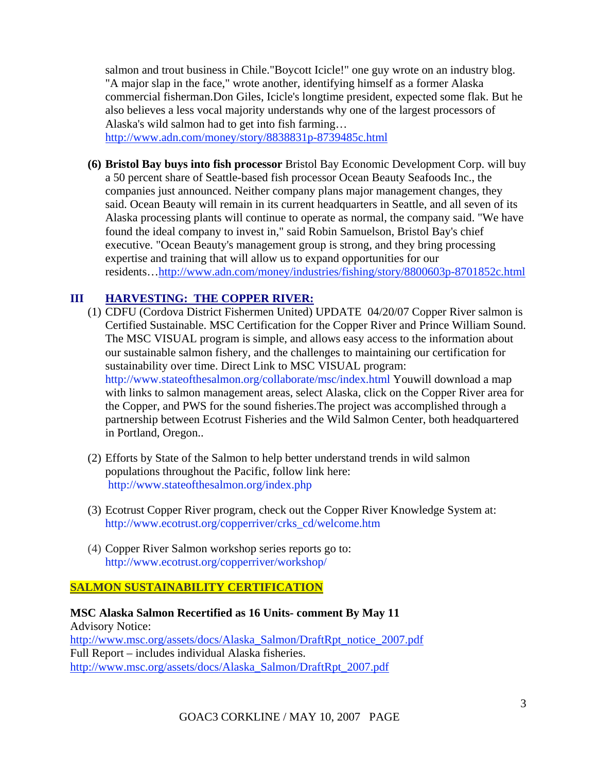salmon and trout business in Chile."Boycott Icicle!" one guy wrote on an industry blog. "A major slap in the face," wrote another, identifying himself as a former Alaska commercial fisherman.Don Giles, Icicle's longtime president, expected some flak. But he also believes a less vocal majority understands why one of the largest processors of Alaska's wild salmon had to get into fish farming…

http://www.adn.com/money/story/8838831p-8739485c.html

**(6) Bristol Bay buys into fish processor** Bristol Bay Economic Development Corp. will buy a 50 percent share of Seattle-based fish processor Ocean Beauty Seafoods Inc., the companies just announced. Neither company plans major management changes, they said. Ocean Beauty will remain in its current headquarters in Seattle, and all seven of its Alaska processing plants will continue to operate as normal, the company said. "We have found the ideal company to invest in," said Robin Samuelson, Bristol Bay's chief executive. "Ocean Beauty's management group is strong, and they bring processing expertise and training that will allow us to expand opportunities for our residents…http://www.adn.com/money/industries/fishing/story/8800603p-8701852c.html

# **III HARVESTING: THE COPPER RIVER:**

- (1) CDFU (Cordova District Fishermen United) UPDATE 04/20/07 Copper River salmon is Certified Sustainable. MSC Certification for the Copper River and Prince William Sound. The MSC VISUAL program is simple, and allows easy access to the information about our sustainable salmon fishery, and the challenges to maintaining our certification for sustainability over time. Direct Link to MSC VISUAL program: http://www.stateofthesalmon.org/collaborate/msc/index.html Youwill download a map with links to salmon management areas, select Alaska, click on the Copper River area for the Copper, and PWS for the sound fisheries.The project was accomplished through a partnership between Ecotrust Fisheries and the Wild Salmon Center, both headquartered in Portland, Oregon..
- (2) Efforts by State of the Salmon to help better understand trends in wild salmon populations throughout the Pacific, follow link here: http://www.stateofthesalmon.org/index.php
- (3) Ecotrust Copper River program, check out the Copper River Knowledge System at: http://www.ecotrust.org/copperriver/crks\_cd/welcome.htm
- (4) Copper River Salmon workshop series reports go to: http://www.ecotrust.org/copperriver/workshop/

### **SALMON SUSTAINABILITY CERTIFICATION**

# **MSC Alaska Salmon Recertified as 16 Units- comment By May 11**

Advisory Notice: http://www.msc.org/assets/docs/Alaska\_Salmon/DraftRpt\_notice\_2007.pdf Full Report – includes individual Alaska fisheries. http://www.msc.org/assets/docs/Alaska\_Salmon/DraftRpt\_2007.pdf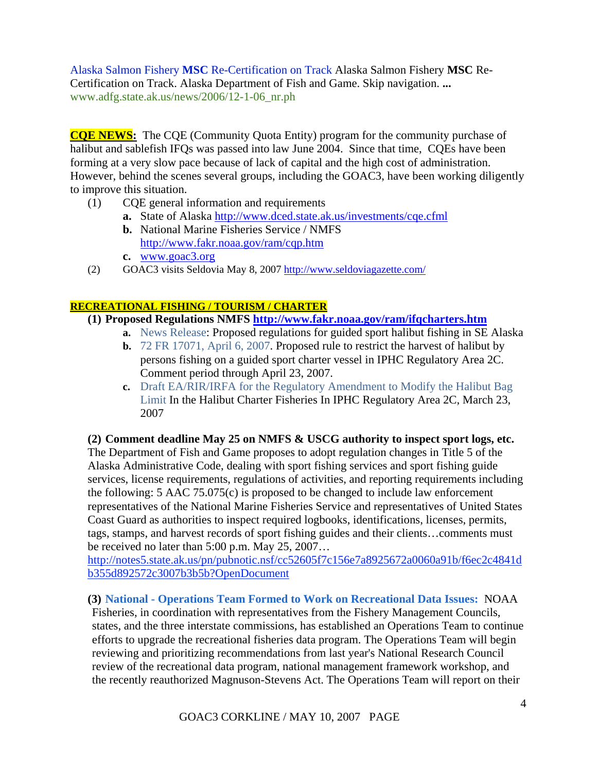Alaska Salmon Fishery **MSC** Re-Certification on Track Alaska Salmon Fishery **MSC** Re-Certification on Track. Alaska Department of Fish and Game. Skip navigation. **...** www.adfg.state.ak.us/news/2006/12-1-06\_nr.ph

**CQE NEWS:** The CQE (Community Quota Entity) program for the community purchase of halibut and sablefish IFQs was passed into law June 2004. Since that time, CQEs have been forming at a very slow pace because of lack of capital and the high cost of administration. However, behind the scenes several groups, including the GOAC3, have been working diligently to improve this situation.

- (1) CQE general information and requirements
	- **a.** State of Alaska http://www.dced.state.ak.us/investments/cqe.cfml
	- **b.** National Marine Fisheries Service / NMFS http://www.fakr.noaa.gov/ram/cqp.htm
	- **c.** www.goac3.org
- (2) GOAC3 visits Seldovia May 8, 2007 http://www.seldoviagazette.com/

### **RECREATIONAL FISHING / TOURISM / CHARTER**

- **(1) Proposed Regulations NMFS http://www.fakr.noaa.gov/ram/ifqcharters.htm**
	- **a.** News Release: Proposed regulations for guided sport halibut fishing in SE Alaska
		- **b.** 72 FR 17071, April 6, 2007. Proposed rule to restrict the harvest of halibut by persons fishing on a guided sport charter vessel in IPHC Regulatory Area 2C. Comment period through April 23, 2007.
		- **c.** Draft EA/RIR/IRFA for the Regulatory Amendment to Modify the Halibut Bag Limit In the Halibut Charter Fisheries In IPHC Regulatory Area 2C, March 23, 2007

### **(2) Comment deadline May 25 on NMFS & USCG authority to inspect sport logs, etc.**

The Department of Fish and Game proposes to adopt regulation changes in Title 5 of the Alaska Administrative Code, dealing with sport fishing services and sport fishing guide services, license requirements, regulations of activities, and reporting requirements including the following: 5 AAC 75.075(c) is proposed to be changed to include law enforcement representatives of the National Marine Fisheries Service and representatives of United States Coast Guard as authorities to inspect required logbooks, identifications, licenses, permits, tags, stamps, and harvest records of sport fishing guides and their clients…comments must be received no later than 5:00 p.m. May 25, 2007…

http://notes5.state.ak.us/pn/pubnotic.nsf/cc52605f7c156e7a8925672a0060a91b/f6ec2c4841d b355d892572c3007b3b5b?OpenDocument

**(3) National - Operations Team Formed to Work on Recreational Data Issues:** NOAA Fisheries, in coordination with representatives from the Fishery Management Councils, states, and the three interstate commissions, has established an Operations Team to continue efforts to upgrade the recreational fisheries data program. The Operations Team will begin reviewing and prioritizing recommendations from last year's National Research Council review of the recreational data program, national management framework workshop, and the recently reauthorized Magnuson-Stevens Act. The Operations Team will report on their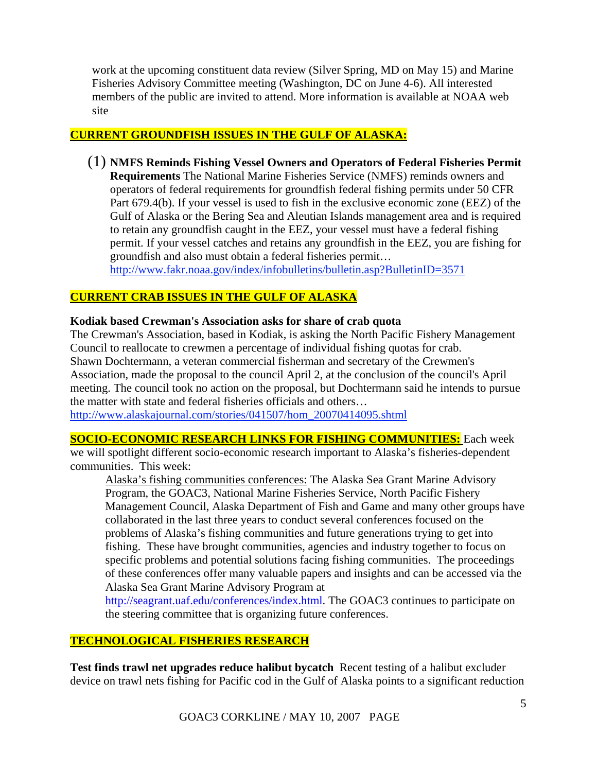work at the upcoming constituent data review (Silver Spring, MD on May 15) and Marine Fisheries Advisory Committee meeting (Washington, DC on June 4-6). All interested members of the public are invited to attend. More information is available at NOAA web site

### **CURRENT GROUNDFISH ISSUES IN THE GULF OF ALASKA:**

(1) **NMFS Reminds Fishing Vessel Owners and Operators of Federal Fisheries Permit Requirements** The National Marine Fisheries Service (NMFS) reminds owners and operators of federal requirements for groundfish federal fishing permits under 50 CFR Part 679.4(b). If your vessel is used to fish in the exclusive economic zone (EEZ) of the Gulf of Alaska or the Bering Sea and Aleutian Islands management area and is required to retain any groundfish caught in the EEZ, your vessel must have a federal fishing permit. If your vessel catches and retains any groundfish in the EEZ, you are fishing for groundfish and also must obtain a federal fisheries permit… http://www.fakr.noaa.gov/index/infobulletins/bulletin.asp?BulletinID=3571

# **CURRENT CRAB ISSUES IN THE GULF OF ALASKA**

### **Kodiak based Crewman's Association asks for share of crab quota**

The Crewman's Association, based in Kodiak, is asking the North Pacific Fishery Management Council to reallocate to crewmen a percentage of individual fishing quotas for crab. Shawn Dochtermann, a veteran commercial fisherman and secretary of the Crewmen's Association, made the proposal to the council April 2, at the conclusion of the council's April meeting. The council took no action on the proposal, but Dochtermann said he intends to pursue the matter with state and federal fisheries officials and others…

http://www.alaskajournal.com/stories/041507/hom\_20070414095.shtml

### **SOCIO-ECONOMIC RESEARCH LINKS FOR FISHING COMMUNITIES:** Each week we will spotlight different socio-economic research important to Alaska's fisheries-dependent communities. This week:

Alaska's fishing communities conferences: The Alaska Sea Grant Marine Advisory Program, the GOAC3, National Marine Fisheries Service, North Pacific Fishery Management Council, Alaska Department of Fish and Game and many other groups have collaborated in the last three years to conduct several conferences focused on the problems of Alaska's fishing communities and future generations trying to get into fishing. These have brought communities, agencies and industry together to focus on specific problems and potential solutions facing fishing communities. The proceedings of these conferences offer many valuable papers and insights and can be accessed via the Alaska Sea Grant Marine Advisory Program at

http://seagrant.uaf.edu/conferences/index.html. The GOAC3 continues to participate on the steering committee that is organizing future conferences.

# **TECHNOLOGICAL FISHERIES RESEARCH**

**Test finds trawl net upgrades reduce halibut bycatch** Recent testing of a halibut excluder device on trawl nets fishing for Pacific cod in the Gulf of Alaska points to a significant reduction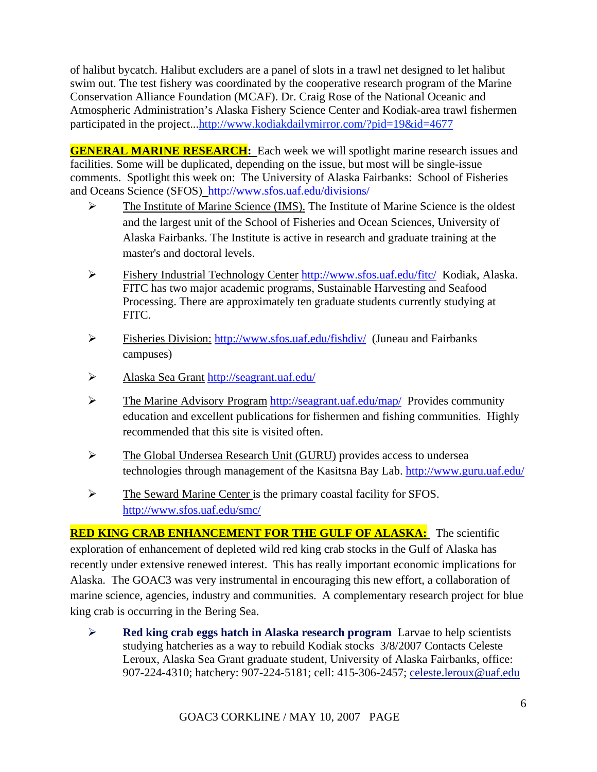of halibut bycatch. Halibut excluders are a panel of slots in a trawl net designed to let halibut swim out. The test fishery was coordinated by the cooperative research program of the Marine Conservation Alliance Foundation (MCAF). Dr. Craig Rose of the National Oceanic and Atmospheric Administration's Alaska Fishery Science Center and Kodiak-area trawl fishermen participated in the project...http://www.kodiakdailymirror.com/?pid=19&id=4677

**GENERAL MARINE RESEARCH:** Each week we will spotlight marine research issues and facilities. Some will be duplicated, depending on the issue, but most will be single-issue comments. Spotlight this week on: The University of Alaska Fairbanks: School of Fisheries and Oceans Science (SFOS)http://www.sfos.uaf.edu/divisions/

- ¾ The Institute of Marine Science (IMS). The Institute of Marine Science is the oldest and the largest unit of the School of Fisheries and Ocean Sciences, University of Alaska Fairbanks. The Institute is active in research and graduate training at the master's and doctoral levels.
- ¾ Fishery Industrial Technology Center http://www.sfos.uaf.edu/fitc/ Kodiak, Alaska. FITC has two major academic programs, Sustainable Harvesting and Seafood Processing. There are approximately ten graduate students currently studying at FITC.
- ¾ Fisheries Division: http://www.sfos.uaf.edu/fishdiv/ (Juneau and Fairbanks campuses)
- ¾ Alaska Sea Grant http://seagrant.uaf.edu/
- ¾ The Marine Advisory Program http://seagrant.uaf.edu/map/ Provides community education and excellent publications for fishermen and fishing communities. Highly recommended that this site is visited often.
- ¾ The Global Undersea Research Unit (GURU) provides access to undersea technologies through management of the Kasitsna Bay Lab. http://www.guru.uaf.edu/
- ¾ The Seward Marine Center is the primary coastal facility for SFOS. http://www.sfos.uaf.edu/smc/

**RED KING CRAB ENHANCEMENT FOR THE GULF OF ALASKA:** The scientific exploration of enhancement of depleted wild red king crab stocks in the Gulf of Alaska has recently under extensive renewed interest. This has really important economic implications for Alaska. The GOAC3 was very instrumental in encouraging this new effort, a collaboration of marine science, agencies, industry and communities. A complementary research project for blue king crab is occurring in the Bering Sea.

¾ **Red king crab eggs hatch in Alaska research program** Larvae to help scientists studying hatcheries as a way to rebuild Kodiak stocks 3/8/2007 Contacts Celeste Leroux, Alaska Sea Grant graduate student, University of Alaska Fairbanks, office: 907-224-4310; hatchery: 907-224-5181; cell: 415-306-2457; celeste.leroux@uaf.edu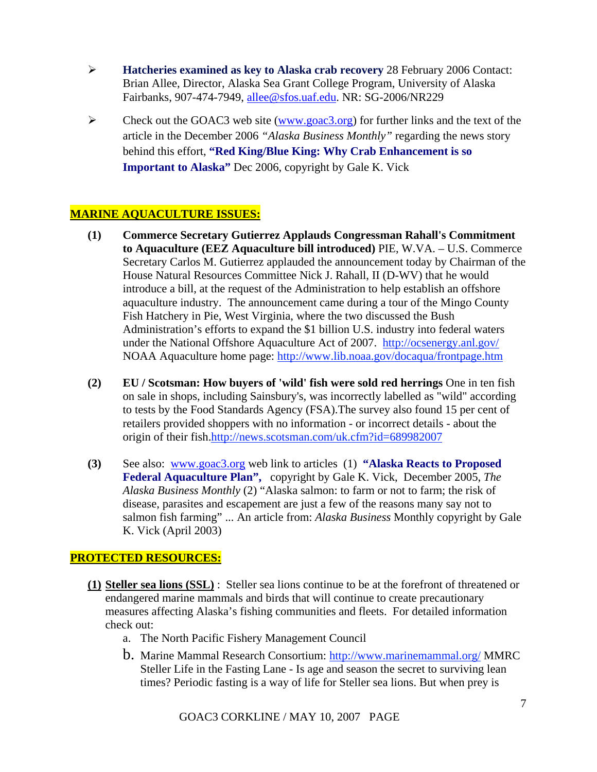- ¾ **Hatcheries examined as key to Alaska crab recovery** 28 February 2006 Contact: Brian Allee, Director, Alaska Sea Grant College Program, University of Alaska Fairbanks, 907-474-7949, allee@sfos.uaf.edu. NR: SG-2006/NR229
- $\triangleright$  Check out the GOAC3 web site (www.goac3.org) for further links and the text of the article in the December 2006 *"Alaska Business Monthly"* regarding the news story behind this effort, **"Red King/Blue King: Why Crab Enhancement is so Important to Alaska"** Dec 2006, copyright by Gale K. Vick

### **MARINE AQUACULTURE ISSUES:**

- **(1) Commerce Secretary Gutierrez Applauds Congressman Rahall's Commitment to Aquaculture (EEZ Aquaculture bill introduced)** PIE, W.VA. – U.S. Commerce Secretary Carlos M. Gutierrez applauded the announcement today by Chairman of the House Natural Resources Committee Nick J. Rahall, II (D-WV) that he would introduce a bill, at the request of the Administration to help establish an offshore aquaculture industry. The announcement came during a tour of the Mingo County Fish Hatchery in Pie, West Virginia, where the two discussed the Bush Administration's efforts to expand the \$1 billion U.S. industry into federal waters under the National Offshore Aquaculture Act of 2007. http://ocsenergy.anl.gov/ NOAA Aquaculture home page: http://www.lib.noaa.gov/docaqua/frontpage.htm
- **(2) EU / Scotsman: How buyers of 'wild' fish were sold red herrings** One in ten fish on sale in shops, including Sainsbury's, was incorrectly labelled as "wild" according to tests by the Food Standards Agency (FSA).The survey also found 15 per cent of retailers provided shoppers with no information - or incorrect details - about the origin of their fish.http://news.scotsman.com/uk.cfm?id=689982007
- **(3)** See also: www.goac3.org web link to articles (1) **"Alaska Reacts to Proposed Federal Aquaculture Plan",** copyright by Gale K. Vick, December 2005, *The Alaska Business Monthly* (2) "Alaska salmon: to farm or not to farm; the risk of disease, parasites and escapement are just a few of the reasons many say not to salmon fish farming" ... An article from: *Alaska Business* Monthly copyright by Gale K. Vick (April 2003)

### **PROTECTED RESOURCES:**

- **(1) Steller sea lions (SSL)** : Steller sea lions continue to be at the forefront of threatened or endangered marine mammals and birds that will continue to create precautionary measures affecting Alaska's fishing communities and fleets. For detailed information check out:
	- a. The North Pacific Fishery Management Council
	- b. Marine Mammal Research Consortium: http://www.marinemammal.org/ MMRC Steller Life in the Fasting Lane - Is age and season the secret to surviving lean times? Periodic fasting is a way of life for Steller sea lions. But when prey is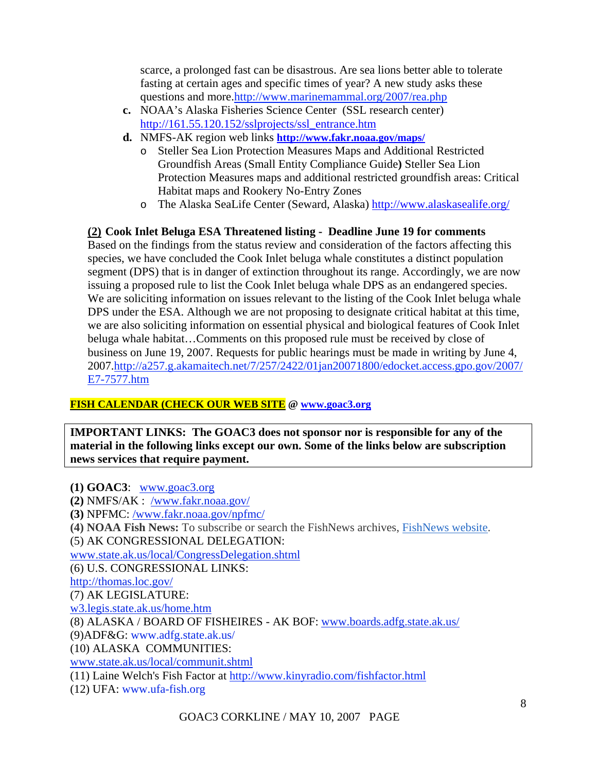scarce, a prolonged fast can be disastrous. Are sea lions better able to tolerate fasting at certain ages and specific times of year? A new study asks these questions and more.http://www.marinemammal.org/2007/rea.php

- **c.** NOAA's Alaska Fisheries Science Center (SSL research center) http://161.55.120.152/sslprojects/ssl\_entrance.htm
- **d.** NMFS-AK region web links **http://www.fakr.noaa.gov/maps/**
	- o Steller Sea Lion Protection Measures Maps and Additional Restricted Groundfish Areas (Small Entity Compliance Guide**)** Steller Sea Lion Protection Measures maps and additional restricted groundfish areas: Critical Habitat maps and Rookery No-Entry Zones
	- o The Alaska SeaLife Center (Seward, Alaska) http://www.alaskasealife.org/

# **(2) Cook Inlet Beluga ESA Threatened listing - Deadline June 19 for comments**

Based on the findings from the status review and consideration of the factors affecting this species, we have concluded the Cook Inlet beluga whale constitutes a distinct population segment (DPS) that is in danger of extinction throughout its range. Accordingly, we are now issuing a proposed rule to list the Cook Inlet beluga whale DPS as an endangered species. We are soliciting information on issues relevant to the listing of the Cook Inlet beluga whale DPS under the ESA. Although we are not proposing to designate critical habitat at this time, we are also soliciting information on essential physical and biological features of Cook Inlet beluga whale habitat…Comments on this proposed rule must be received by close of business on June 19, 2007. Requests for public hearings must be made in writing by June 4, 2007.http://a257.g.akamaitech.net/7/257/2422/01jan20071800/edocket.access.gpo.gov/2007/ E7-7577.htm

### **FISH CALENDAR (CHECK OUR WEB SITE @ www.goac3.org**

**IMPORTANT LINKS: The GOAC3 does not sponsor nor is responsible for any of the material in the following links except our own. Some of the links below are subscription news services that require payment.** 

**(1) GOAC3**: www.goac3.org **(2)** NMFS/AK : /www.fakr.noaa.gov/ **(3)** NPFMC: /www.fakr.noaa.gov/npfmc/ **(4) NOAA Fish News:** To subscribe or search the FishNews archives, FishNews website. (5) AK CONGRESSIONAL DELEGATION: www.state.ak.us/local/CongressDelegation.shtml (6) U.S. CONGRESSIONAL LINKS: http://thomas.loc.gov/ (7) AK LEGISLATURE: w3.legis.state.ak.us/home.htm (8) ALASKA / BOARD OF FISHEIRES - AK BOF: www.boards.adfg.state.ak.us/ (9)ADF&G: www.adfg.state.ak.us/ (10) ALASKA COMMUNITIES: www.state.ak.us/local/communit.shtml (11) Laine Welch's Fish Factor at http://www.kinyradio.com/fishfactor.html

(12) UFA: www.ufa-fish.org